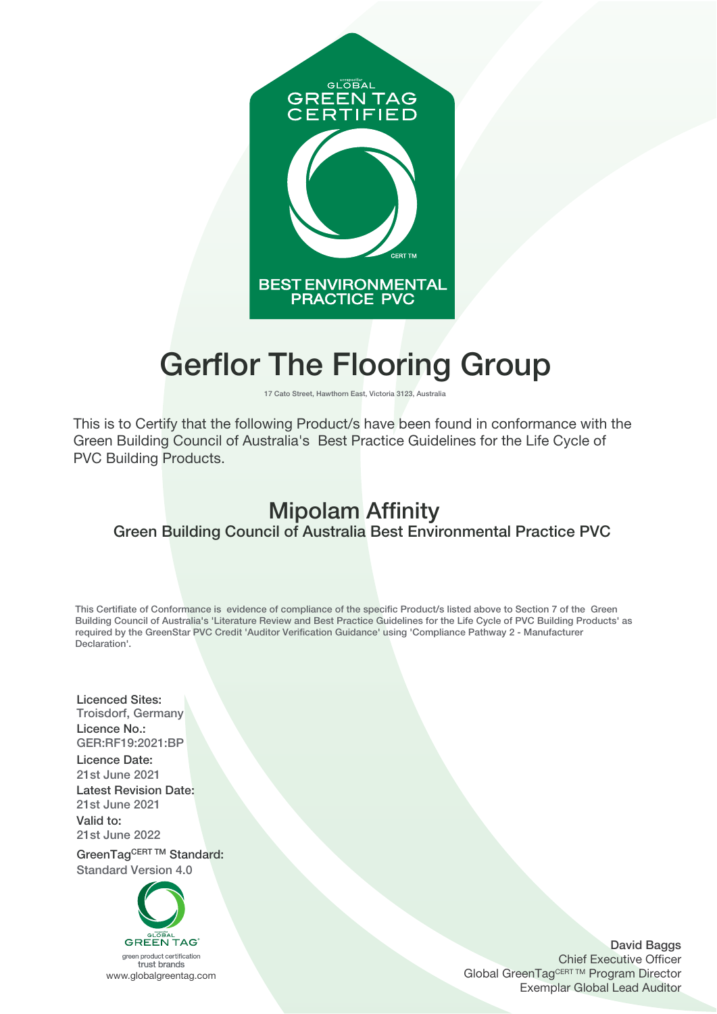

# **Gerflor The Flooring Group**

**17 Cato Street, Hawthorn East, Victoria 3123, Australia**

This is to Certify that the following Product/s have been found in conformance with the Green Building Council of Australia's Best Practice Guidelines for the Life Cycle of PVC Building Products.

## **Mipolam Affinity Green Building Council of Australia Best Environmental Practice PVC**

**This Certifiate of Conformance is evidence of compliance of the specific Product/s listed above to Section 7 of the Green Building Council of Australia's 'Literature Review and Best Practice Guidelines for the Life Cycle of PVC Building Products' as required by the GreenStar PVC Credit 'Auditor Verification Guidance' using 'Compliance Pathway 2 - Manufacturer Declaration'.**

**Licenced Sites: Troisdorf, Germany Licence No.: GER:RF19:2021:BP**

**Licence Date: 21st June 2021 Latest Revision Date: 21st June 2021 Valid to: 21st June 2022**

GreenTagCERT TM Standard: **Standard Version 4.0**



**David Baggs** Chief Executive Officer Global GreenTagCERT ™ Program Director Exemplar Global Lead Auditor